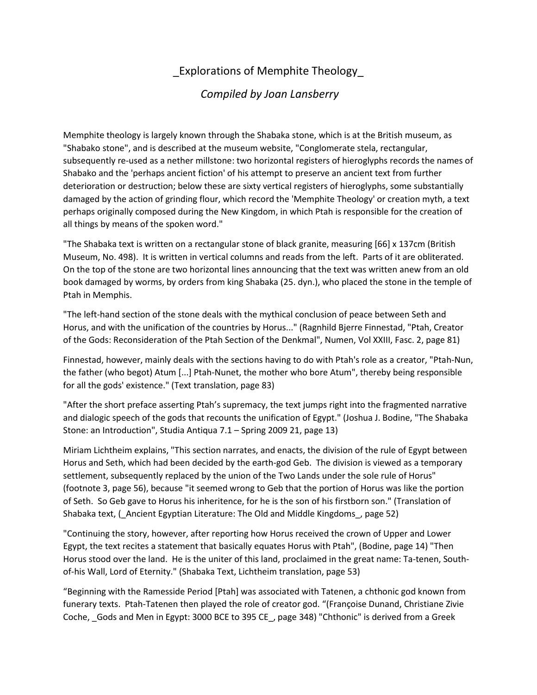## \_Explorations of Memphite Theology\_

## *Compiled by Joan Lansberry*

Memphite theology is largely known through the Shabaka stone, which is at the British museum, as "Shabako stone", and is described at the museum website, "Conglomerate stela, rectangular, subsequently re-used as a nether millstone: two horizontal registers of hieroglyphs records the names of Shabako and the 'perhaps ancient fiction' of his attempt to preserve an ancient text from further deterioration or destruction; below these are sixty vertical registers of hieroglyphs, some substantially damaged by the action of grinding flour, which record the 'Memphite Theology' or creation myth, a text perhaps originally composed during the New Kingdom, in which Ptah is responsible for the creation of all things by means of the spoken word."

"The Shabaka text is written on a rectangular stone of black granite, measuring [66] x 137cm (British Museum, No. 498). It is written in vertical columns and reads from the left. Parts of it are obliterated. On the top of the stone are two horizontal lines announcing that the text was written anew from an old book damaged by worms, by orders from king Shabaka (25. dyn.), who placed the stone in the temple of Ptah in Memphis.

"The left-hand section of the stone deals with the mythical conclusion of peace between Seth and Horus, and with the unification of the countries by Horus..." (Ragnhild Bjerre Finnestad, "Ptah, Creator of the Gods: Reconsideration of the Ptah Section of the Denkmal", Numen, Vol XXIII, Fasc. 2, page 81)

Finnestad, however, mainly deals with the sections having to do with Ptah's role as a creator, "Ptah-Nun, the father (who begot) Atum [...] Ptah-Nunet, the mother who bore Atum", thereby being responsible for all the gods' existence." (Text translation, page 83)

"After the short preface asserting Ptah's supremacy, the text jumps right into the fragmented narrative and dialogic speech of the gods that recounts the unification of Egypt." (Joshua J. Bodine, "The Shabaka Stone: an Introduction", Studia Antiqua 7.1 – Spring 2009 21, page 13)

Miriam Lichtheim explains, "This section narrates, and enacts, the division of the rule of Egypt between Horus and Seth, which had been decided by the earth-god Geb. The division is viewed as a temporary settlement, subsequently replaced by the union of the Two Lands under the sole rule of Horus" (footnote 3, page 56), because "it seemed wrong to Geb that the portion of Horus was like the portion of Seth. So Geb gave to Horus his inheritence, for he is the son of his firstborn son." (Translation of Shabaka text, (\_Ancient Egyptian Literature: The Old and Middle Kingdoms\_, page 52)

"Continuing the story, however, after reporting how Horus received the crown of Upper and Lower Egypt, the text recites a statement that basically equates Horus with Ptah", (Bodine, page 14) "Then Horus stood over the land. He is the uniter of this land, proclaimed in the great name: Ta-tenen, Southof-his Wall, Lord of Eternity." (Shabaka Text, Lichtheim translation, page 53)

"Beginning with the Ramesside Period [Ptah] was associated with Tatenen, a chthonic god known from funerary texts. Ptah-Tatenen then played the role of creator god. "(Françoise Dunand, Christiane Zivie Coche, \_Gods and Men in Egypt: 3000 BCE to 395 CE\_, page 348) "Chthonic" is derived from a Greek